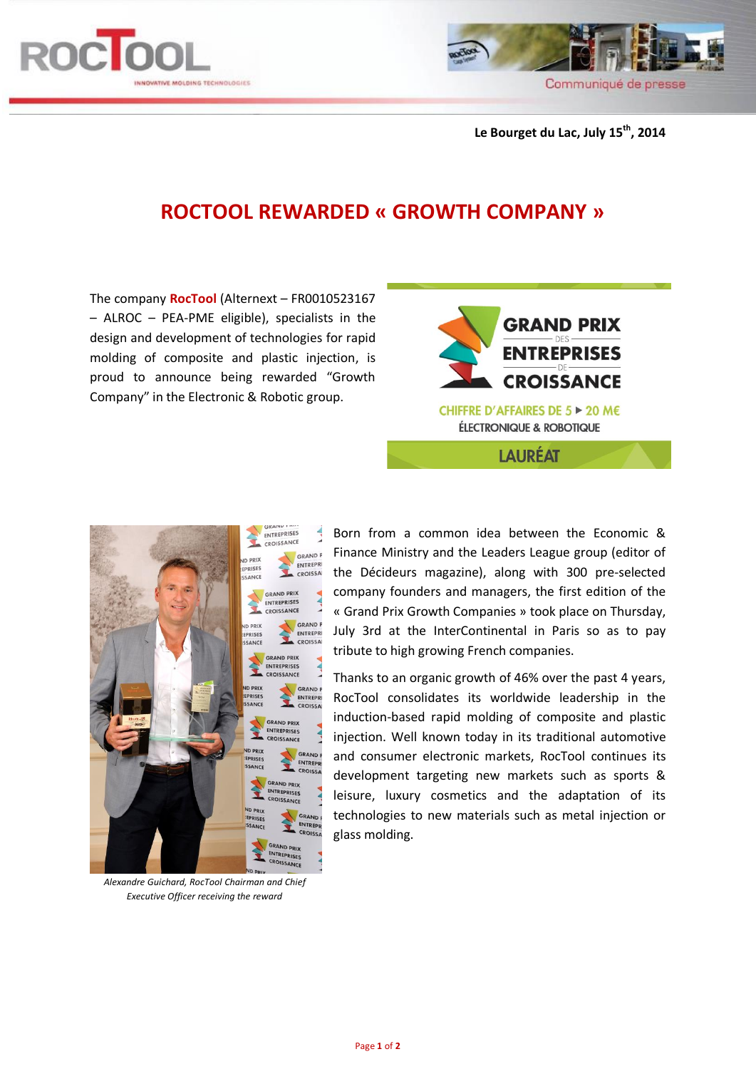



**Le Bourget du Lac, July 15th , 2014**

## **ROCTOOL REWARDED « GROWTH COMPANY »**

The company **RocTool** (Alternext – FR0010523167 – ALROC – PEA-PME eligible), specialists in the design and development of technologies for rapid molding of composite and plastic injection, is proud to announce being rewarded "Growth Company" in the Electronic & Robotic group.





*Alexandre Guichard, RocTool Chairman and Chief Executive Officer receiving the reward*

Born from a common idea between the Economic & Finance Ministry and the Leaders League group (editor of the Décideurs magazine), along with 300 pre-selected company founders and managers, the first edition of the « Grand Prix Growth Companies » took place on Thursday, July 3rd at the InterContinental in Paris so as to pay tribute to high growing French companies.

Thanks to an organic growth of 46% over the past 4 years, RocTool consolidates its worldwide leadership in the induction-based rapid molding of composite and plastic injection. Well known today in its traditional automotive and consumer electronic markets, RocTool continues its development targeting new markets such as sports & leisure, luxury cosmetics and the adaptation of its technologies to new materials such as metal injection or glass molding.